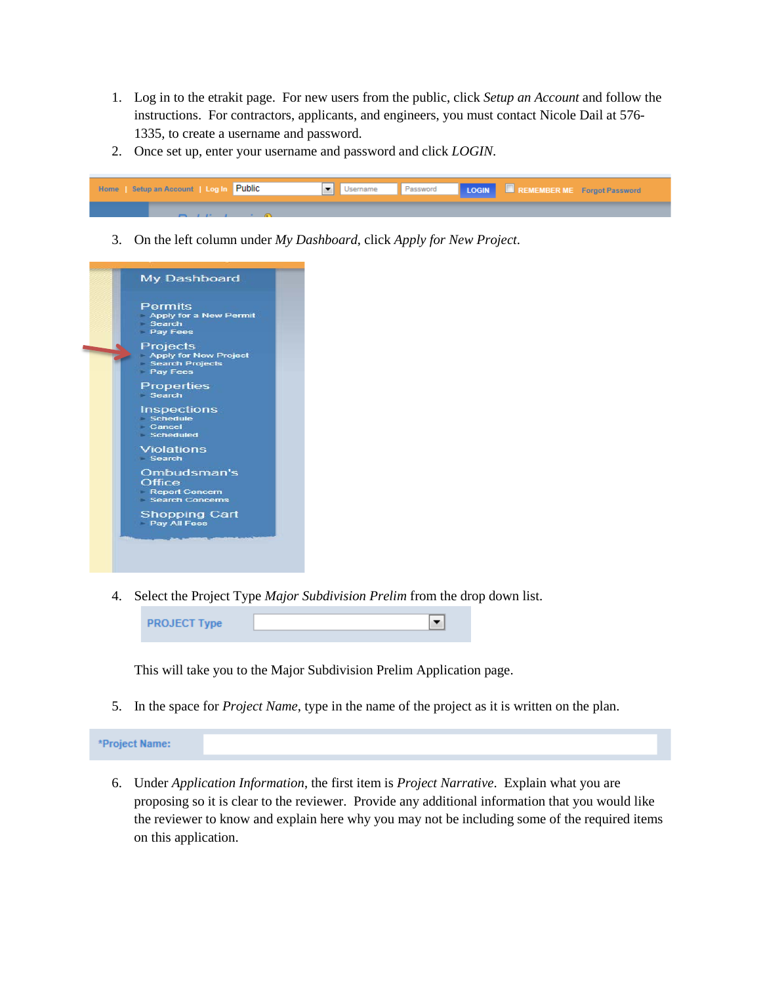- 1. Log in to the etrakit page. For new users from the public, click *Setup an Account* and follow the instructions. For contractors, applicants, and engineers, you must contact Nicole Dail at 576- 1335, to create a username and password.
- 2. Once set up, enter your username and password and click *LOGIN*.



3. On the left column under *My Dashboard*, click *Apply for New Project*.



4. Select the Project Type *Major Subdivision Prelim* from the drop down list.

| <b>PROJECT Type</b> |  |
|---------------------|--|
|                     |  |

This will take you to the Major Subdivision Prelim Application page.

5. In the space for *Project Name*, type in the name of the project as it is written on the plan.

\*Project Name:

6. Under *Application Information*, the first item is *Project Narrative*. Explain what you are proposing so it is clear to the reviewer. Provide any additional information that you would like the reviewer to know and explain here why you may not be including some of the required items on this application.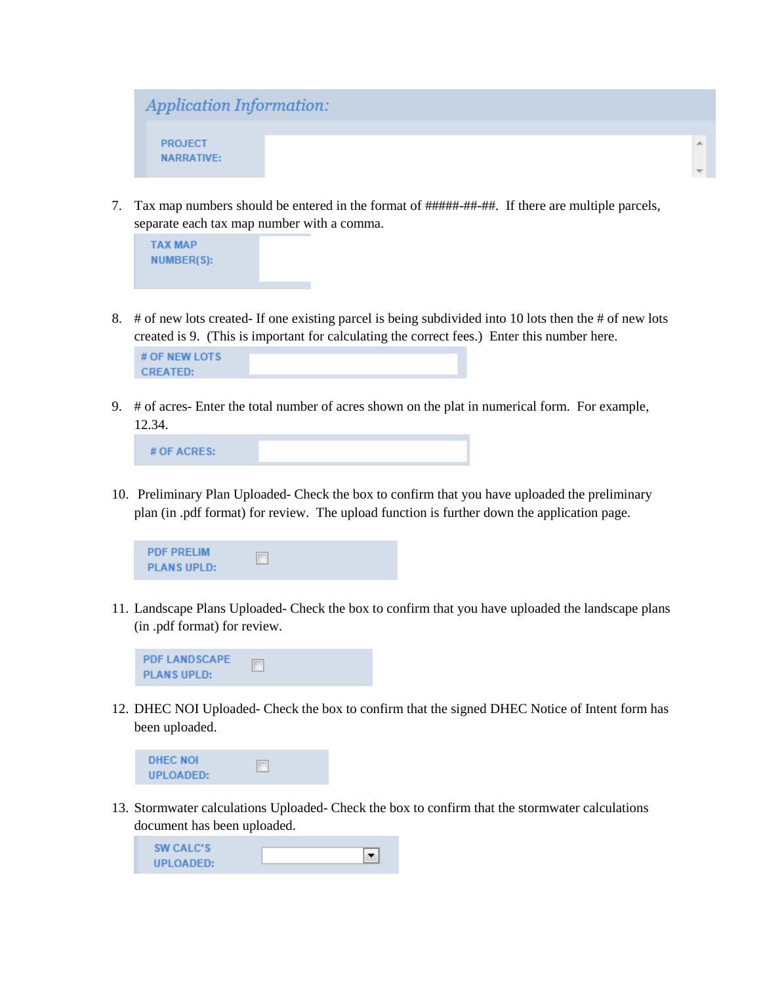

7. Tax map numbers should be entered in the format of #####-##-##. If there are multiple parcels, separate each tax map number with a comma.



8. # of new lots created- If one existing parcel is being subdivided into 10 lots then the # of new lots created is 9. (This is important for calculating the correct fees.) Enter this number here.



9. # of acres- Enter the total number of acres shown on the plat in numerical form. For example, 12.34.

10. Preliminary Plan Uploaded- Check the box to confirm that you have uploaded the preliminary plan (in .pdf format) for review. The upload function is further down the application page.



11. Landscape Plans Uploaded- Check the box to confirm that you have uploaded the landscape plans (in .pdf format) for review.



12. DHEC NOI Uploaded- Check the box to confirm that the signed DHEC Notice of Intent form has been uploaded.



13. Stormwater calculations Uploaded- Check the box to confirm that the stormwater calculations document has been uploaded.

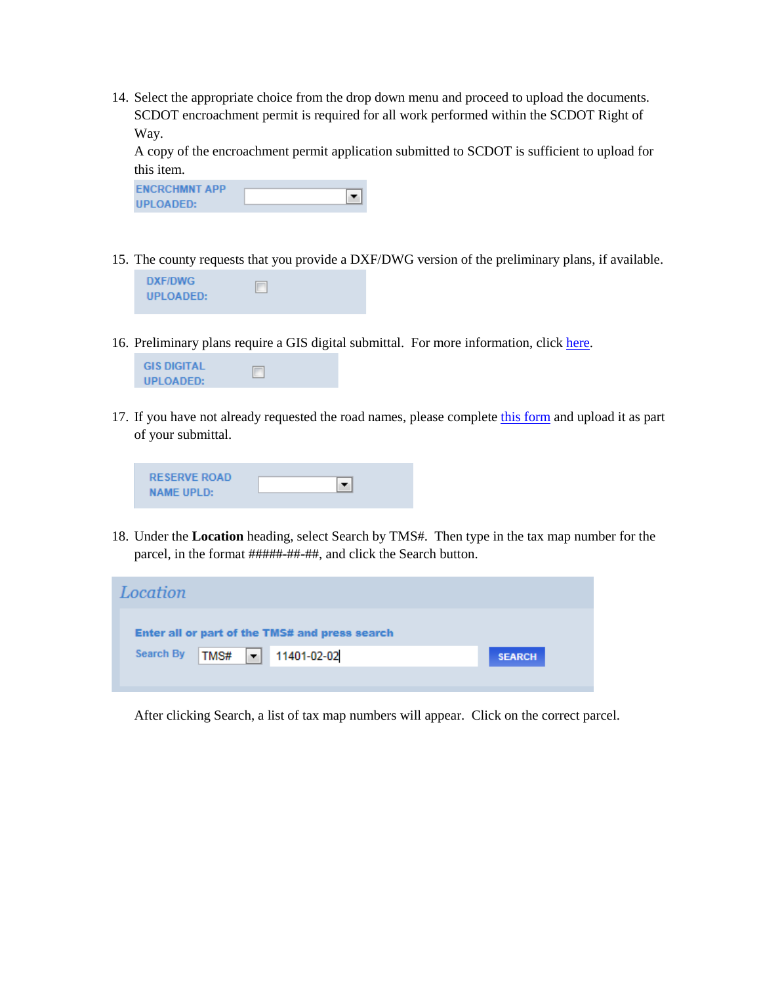14. Select the appropriate choice from the drop down menu and proceed to upload the documents. SCDOT encroachment permit is required for all work performed within the SCDOT Right of Way.

A copy of the encroachment permit application submitted to SCDOT is sufficient to upload for this item.

| <b>ENCRCHMNT APP</b> |  |
|----------------------|--|
| UPLOADED:            |  |

15. The county requests that you provide a DXF/DWG version of the preliminary plans, if available.



16. Preliminary plans require a GIS digital submittal. For more information, clic[k here.](http://www.rcgov.us/Portals/0/Departments/Planning/DDSStandards.pdf)



17. If you have not already requested the road names, please complete [this form](http://www.richlandonline.com/Portals/0/Departments/Planning/Forms/ReservedNameApplication.pdf) and upload it as part of your submittal.

| <b>RESERVE ROAD</b> |  |
|---------------------|--|
| <b>NAME UPLD:</b>   |  |

18. Under the **Location** heading, select Search by TMS#. Then type in the tax map number for the parcel, in the format #####-##-##, and click the Search button.

| Location                                       |               |
|------------------------------------------------|---------------|
| Enter all or part of the TMS# and press search |               |
| TMS# - 11401-02-02<br><b>Search By</b>         | <b>SEARCH</b> |
|                                                |               |

After clicking Search, a list of tax map numbers will appear. Click on the correct parcel.